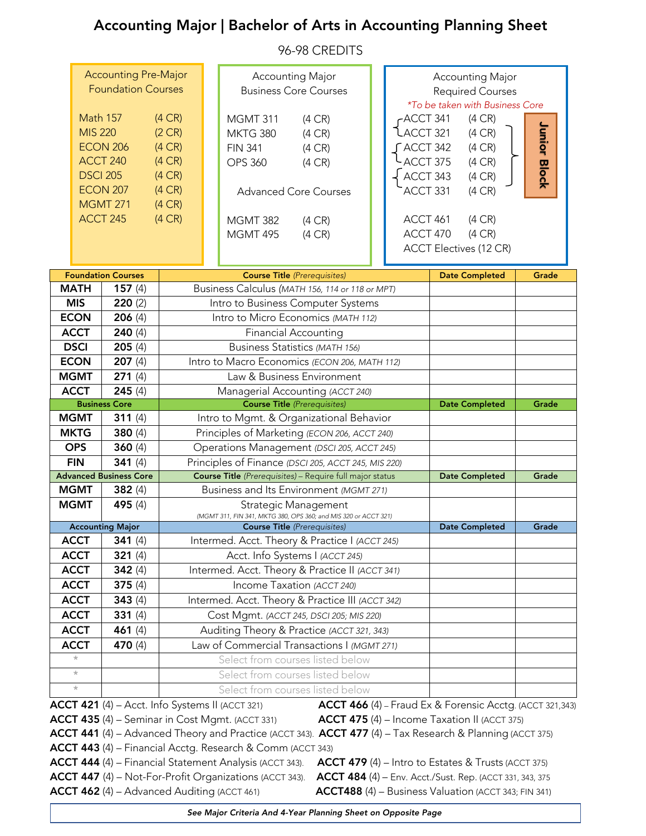# Accounting Major | Bachelor of Arts in Accounting Planning Sheet

96-98 CREDITS

| <b>Accounting Pre-Major</b><br><b>Foundation Courses</b> |                                                                                                                                                                                                               |                                                                                                                           |                                                     | <b>Accounting Major</b><br><b>Business Core Courses</b>                                                                   |                                                                 |                       | <b>Accounting Major</b><br><b>Required Courses</b><br>*To be taken with Business Core    |  |                                                                                                         |              |  |  |
|----------------------------------------------------------|---------------------------------------------------------------------------------------------------------------------------------------------------------------------------------------------------------------|---------------------------------------------------------------------------------------------------------------------------|-----------------------------------------------------|---------------------------------------------------------------------------------------------------------------------------|-----------------------------------------------------------------|-----------------------|------------------------------------------------------------------------------------------|--|---------------------------------------------------------------------------------------------------------|--------------|--|--|
|                                                          | <b>Math 157</b><br>(4CR)<br><b>MIS 220</b><br>(2CR)<br><b>ECON 206</b><br>(4CR)<br>ACCT 240<br>(4CR)<br><b>DSCI 205</b><br>(4CR)<br><b>ECON 207</b><br>(4CR)<br><b>MGMT 271</b><br>(4CR)<br>ACCT 245<br>(4CR) |                                                                                                                           |                                                     | <b>MGMT 311</b><br><b>MKTG 380</b><br><b>FIN 341</b><br><b>OPS 360</b><br><b>Advanced Core Courses</b><br><b>MGMT 382</b> | $(4 \text{ CR})$<br>(4CR)<br>(4CR)<br>(4CR)<br>$(4 \text{ CR})$ |                       | -ACCT 341<br>ACCT 321<br>$\int$ ACCT 342<br>ACCT 375<br>ACCT 343<br>ACCT 331<br>ACCT 461 |  | $(4 \text{ CR})$<br>(4CR)<br>$(4 \text{ CR})$<br>$(4 \text{ CR})$<br>(4CR)<br>(4CR)<br>$(4 \text{ CR})$ | Junior Block |  |  |
|                                                          |                                                                                                                                                                                                               | <b>MGMT 495</b>                                                                                                           | (4CR)                                               |                                                                                                                           | ACCT 470<br>(4CR)<br><b>ACCT Electives (12 CR)</b>              |                       |                                                                                          |  |                                                                                                         |              |  |  |
|                                                          | <b>Foundation Courses</b>                                                                                                                                                                                     |                                                                                                                           |                                                     | <b>Course Title (Prerequisites)</b>                                                                                       |                                                                 |                       |                                                                                          |  | <b>Date Completed</b>                                                                                   | Grade        |  |  |
| <b>MATH</b>                                              | 157 $(4)$                                                                                                                                                                                                     |                                                                                                                           |                                                     | Business Calculus (MATH 156, 114 or 118 or MPT)                                                                           |                                                                 |                       |                                                                                          |  |                                                                                                         |              |  |  |
| <b>MIS</b>                                               | 220(2)                                                                                                                                                                                                        |                                                                                                                           |                                                     | Intro to Business Computer Systems                                                                                        |                                                                 |                       |                                                                                          |  |                                                                                                         |              |  |  |
| <b>ECON</b>                                              | 206(4)                                                                                                                                                                                                        |                                                                                                                           |                                                     | Intro to Micro Economics (MATH 112)                                                                                       |                                                                 |                       |                                                                                          |  |                                                                                                         |              |  |  |
| <b>ACCT</b>                                              | 240(4)                                                                                                                                                                                                        |                                                                                                                           |                                                     | <b>Financial Accounting</b>                                                                                               |                                                                 |                       |                                                                                          |  |                                                                                                         |              |  |  |
|                                                          |                                                                                                                                                                                                               |                                                                                                                           |                                                     | <b>Business Statistics (MATH 156)</b>                                                                                     |                                                                 |                       |                                                                                          |  |                                                                                                         |              |  |  |
| <b>DSCI</b><br>205(4)<br><b>ECON</b><br>207(4)           |                                                                                                                                                                                                               |                                                                                                                           |                                                     |                                                                                                                           |                                                                 |                       |                                                                                          |  |                                                                                                         |              |  |  |
|                                                          |                                                                                                                                                                                                               |                                                                                                                           |                                                     | Intro to Macro Economics (ECON 206, MATH 112)                                                                             |                                                                 |                       |                                                                                          |  |                                                                                                         |              |  |  |
| 271(4)<br><b>MGMT</b><br>Law & Business Environment      |                                                                                                                                                                                                               |                                                                                                                           |                                                     |                                                                                                                           |                                                                 |                       |                                                                                          |  |                                                                                                         |              |  |  |
| <b>ACCT</b>                                              | 245(4)<br><b>Business Core</b>                                                                                                                                                                                |                                                                                                                           |                                                     | Managerial Accounting (ACCT 240)<br><b>Course Title</b> (Prerequisites)                                                   |                                                                 |                       |                                                                                          |  |                                                                                                         | Grade        |  |  |
| <b>MGMT</b>                                              | 311 $(4)$                                                                                                                                                                                                     |                                                                                                                           |                                                     |                                                                                                                           |                                                                 |                       | <b>Date Completed</b>                                                                    |  |                                                                                                         |              |  |  |
| <b>MKTG</b>                                              | Intro to Mgmt. & Organizational Behavior<br>380 $(4)$<br>Principles of Marketing (ECON 206, ACCT 240)                                                                                                         |                                                                                                                           |                                                     |                                                                                                                           |                                                                 |                       |                                                                                          |  |                                                                                                         |              |  |  |
| <b>OPS</b>                                               | 360 $(4)$                                                                                                                                                                                                     |                                                                                                                           |                                                     | Operations Management (DSCI 205, ACCT 245)                                                                                |                                                                 |                       |                                                                                          |  |                                                                                                         |              |  |  |
| <b>FIN</b>                                               | 341 $(4)$                                                                                                                                                                                                     |                                                                                                                           | Principles of Finance (DSCI 205, ACCT 245, MIS 220) |                                                                                                                           |                                                                 |                       |                                                                                          |  |                                                                                                         |              |  |  |
| <b>Advanced Business Core</b>                            | Course Title (Prerequisites) - Require full major status                                                                                                                                                      |                                                                                                                           |                                                     |                                                                                                                           |                                                                 | <b>Date Completed</b> | Grade                                                                                    |  |                                                                                                         |              |  |  |
| <b>MGMT</b>                                              | 382(4)                                                                                                                                                                                                        |                                                                                                                           |                                                     | Business and Its Environment (MGMT 271)                                                                                   |                                                                 |                       |                                                                                          |  |                                                                                                         |              |  |  |
| <b>MGMT</b>                                              | 495 (4)                                                                                                                                                                                                       |                                                                                                                           |                                                     | Strategic Management                                                                                                      |                                                                 |                       |                                                                                          |  |                                                                                                         |              |  |  |
|                                                          | (MGMT 311, FIN 341, MKTG 380, OPS 360; and MIS 320 or ACCT 321)                                                                                                                                               |                                                                                                                           |                                                     |                                                                                                                           |                                                                 |                       |                                                                                          |  |                                                                                                         |              |  |  |
|                                                          | <b>Accounting Major</b>                                                                                                                                                                                       |                                                                                                                           |                                                     | <b>Course Title</b> (Prerequisites)                                                                                       |                                                                 |                       |                                                                                          |  | <b>Date Completed</b>                                                                                   | Grade        |  |  |
| <b>ACCT</b>                                              | 341(4)                                                                                                                                                                                                        |                                                                                                                           |                                                     | Intermed. Acct. Theory & Practice I (ACCT 245)                                                                            |                                                                 |                       |                                                                                          |  |                                                                                                         |              |  |  |
| <b>ACCT</b>                                              | 321(4)                                                                                                                                                                                                        |                                                                                                                           |                                                     | Acct. Info Systems I (ACCT 245)                                                                                           |                                                                 |                       |                                                                                          |  |                                                                                                         |              |  |  |
| <b>ACCT</b>                                              | 342 $(4)$                                                                                                                                                                                                     |                                                                                                                           |                                                     | Intermed. Acct. Theory & Practice II (ACCT 341)                                                                           |                                                                 |                       |                                                                                          |  |                                                                                                         |              |  |  |
| <b>ACCT</b>                                              |                                                                                                                                                                                                               | Income Taxation (ACCT 240)<br>375 $(4)$                                                                                   |                                                     |                                                                                                                           |                                                                 |                       |                                                                                          |  |                                                                                                         |              |  |  |
| <b>ACCT</b>                                              | 343(4)                                                                                                                                                                                                        |                                                                                                                           |                                                     | Intermed. Acct. Theory & Practice III (ACCT 342)                                                                          |                                                                 |                       |                                                                                          |  |                                                                                                         |              |  |  |
| <b>ACCT</b>                                              | 331 $(4)$                                                                                                                                                                                                     | Cost Mgmt. (ACCT 245, DSCI 205; MIS 220)                                                                                  |                                                     |                                                                                                                           |                                                                 |                       |                                                                                          |  |                                                                                                         |              |  |  |
| <b>ACCT</b>                                              | 461 $(4)$                                                                                                                                                                                                     | Auditing Theory & Practice (ACCT 321, 343)                                                                                |                                                     |                                                                                                                           |                                                                 |                       |                                                                                          |  |                                                                                                         |              |  |  |
| <b>ACCT</b>                                              | 470 (4)                                                                                                                                                                                                       | Law of Commercial Transactions I (MGMT 271)                                                                               |                                                     |                                                                                                                           |                                                                 |                       |                                                                                          |  |                                                                                                         |              |  |  |
|                                                          |                                                                                                                                                                                                               | Select from courses listed below                                                                                          |                                                     |                                                                                                                           |                                                                 |                       |                                                                                          |  |                                                                                                         |              |  |  |
| $\frac{1}{\sqrt{2}}$                                     |                                                                                                                                                                                                               |                                                                                                                           | Select from courses listed below                    |                                                                                                                           |                                                                 |                       |                                                                                          |  |                                                                                                         |              |  |  |
| $\frac{1}{2}$                                            |                                                                                                                                                                                                               |                                                                                                                           |                                                     | Select from courses listed below                                                                                          |                                                                 |                       |                                                                                          |  |                                                                                                         |              |  |  |
|                                                          |                                                                                                                                                                                                               | <b>ACCT 421</b> (4) – Acct. Info Systems II (ACCT 321)<br><b>ACCT 466 (4)</b> - Fraud Ex & Forensic Acctg. (ACCT 321,343) |                                                     |                                                                                                                           |                                                                 |                       |                                                                                          |  |                                                                                                         |              |  |  |
|                                                          |                                                                                                                                                                                                               |                                                                                                                           |                                                     | <b>ACCT 435</b> (4) - Seminar in Cost Mgmt. (ACCT 331)                                                                    |                                                                 |                       | ACCT 475 (4) - Income Taxation II (ACCT 375)                                             |  |                                                                                                         |              |  |  |
|                                                          | $ACCT$ 441 (4) – Advanced Theory and Practice (ACCT 343). $ACCT$ 477 (4) – Tax Research & Planning (ACCT 375)                                                                                                 |                                                                                                                           |                                                     |                                                                                                                           |                                                                 |                       |                                                                                          |  |                                                                                                         |              |  |  |
|                                                          |                                                                                                                                                                                                               |                                                                                                                           |                                                     | <b>ACCT 443</b> (4) – Financial Acctg. Research & Comm (ACCT 343)                                                         |                                                                 |                       |                                                                                          |  |                                                                                                         |              |  |  |
|                                                          |                                                                                                                                                                                                               |                                                                                                                           |                                                     | <b>ACCT 444</b> (4) – Financial Statement Analysis (ACCT 343).                                                            | $ACCT$ 479 (4) – Intro to Estates & Trusts (ACCT 375)           |                       |                                                                                          |  |                                                                                                         |              |  |  |
|                                                          |                                                                                                                                                                                                               |                                                                                                                           |                                                     | ACCT 447 (4) - Not-For-Profit Organizations (ACCT 343).                                                                   | <b>ACCT 484</b> (4) - Env. Acct./Sust. Rep. (ACCT 331, 343, 375 |                       |                                                                                          |  |                                                                                                         |              |  |  |
|                                                          | <b>ACCT 462</b> (4) - Advanced Auditing (ACCT 461)<br>ACCT488 (4) - Business Valuation (ACCT 343; FIN 341)                                                                                                    |                                                                                                                           |                                                     |                                                                                                                           |                                                                 |                       |                                                                                          |  |                                                                                                         |              |  |  |